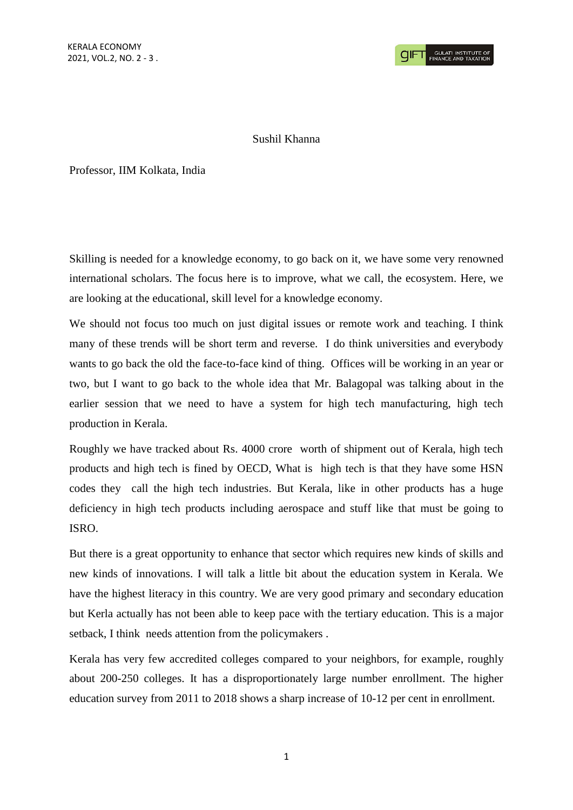## Sushil Khanna

Professor, IIM Kolkata, India

Skilling is needed for a knowledge economy, to go back on it, we have some very renowned international scholars. The focus here is to improve, what we call, the ecosystem. Here, we are looking at the educational, skill level for a knowledge economy.

We should not focus too much on just digital issues or remote work and teaching. I think many of these trends will be short term and reverse. I do think universities and everybody wants to go back the old the face-to-face kind of thing. Offices will be working in an year or two, but I want to go back to the whole idea that Mr. Balagopal was talking about in the earlier session that we need to have a system for high tech manufacturing, high tech production in Kerala.

Roughly we have tracked about Rs. 4000 crore worth of shipment out of Kerala, high tech products and high tech is fined by OECD, What is high tech is that they have some HSN codes they call the high tech industries. But Kerala, like in other products has a huge deficiency in high tech products including aerospace and stuff like that must be going to ISRO.

But there is a great opportunity to enhance that sector which requires new kinds of skills and new kinds of innovations. I will talk a little bit about the education system in Kerala. We have the highest literacy in this country. We are very good primary and secondary education but Kerla actually has not been able to keep pace with the tertiary education. This is a major setback, I think needs attention from the policymakers .

Kerala has very few accredited colleges compared to your neighbors, for example, roughly about 200-250 colleges. It has a disproportionately large number enrollment. The higher education survey from 2011 to 2018 shows a sharp increase of 10-12 per cent in enrollment.